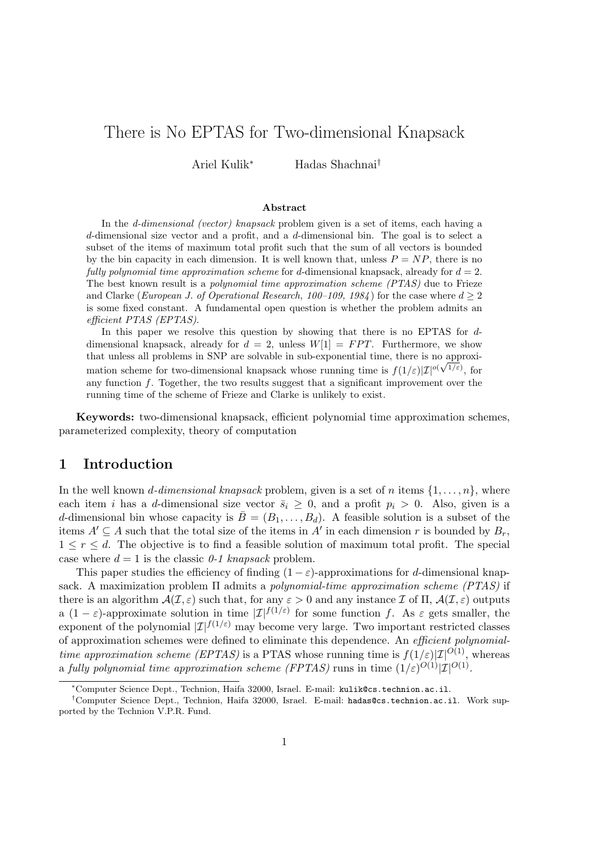# There is No EPTAS for Two-dimensional Knapsack

Ariel Kulik<sup>∗</sup> Hadas Shachnai†

#### Abstract

In the d-dimensional (vector) knapsack problem given is a set of items, each having a d-dimensional size vector and a profit, and a d-dimensional bin. The goal is to select a subset of the items of maximum total profit such that the sum of all vectors is bounded by the bin capacity in each dimension. It is well known that, unless  $P = NP$ , there is no fully polynomial time approximation scheme for d-dimensional knapsack, already for  $d = 2$ . The best known result is a *polynomial time approximation scheme (PTAS)* due to Frieze and Clarke (European J. of Operational Research, 100–109, 1984) for the case where  $d \geq 2$ is some fixed constant. A fundamental open question is whether the problem admits an efficient PTAS (EPTAS).

In this paper we resolve this question by showing that there is no EPTAS for ddimensional knapsack, already for  $d = 2$ , unless  $W[1] = FPT$ . Furthermore, we show that unless all problems in SNP are solvable in sub-exponential time, there is no approximation scheme for two-dimensional knapsack whose running time is  $f(1/\varepsilon)|\mathcal{I}|^{o(\sqrt{1/\varepsilon})}$ , for any function f. Together, the two results suggest that a significant improvement over the running time of the scheme of Frieze and Clarke is unlikely to exist.

Keywords: two-dimensional knapsack, efficient polynomial time approximation schemes, parameterized complexity, theory of computation

### 1 Introduction

In the well known *d*-dimensional knapsack problem, given is a set of n items  $\{1, \ldots, n\}$ , where each item i has a d-dimensional size vector  $\bar{s}_i \geq 0$ , and a profit  $p_i > 0$ . Also, given is a d-dimensional bin whose capacity is  $\overline{B} = (B_1, \ldots, B_d)$ . A feasible solution is a subset of the items  $A' \subseteq A$  such that the total size of the items in  $A'$  in each dimension r is bounded by  $B_r$ ,  $1 \leq r \leq d$ . The objective is to find a feasible solution of maximum total profit. The special case where  $d = 1$  is the classic 0-1 knapsack problem.

This paper studies the efficiency of finding  $(1 - \varepsilon)$ -approximations for d-dimensional knapsack. A maximization problem  $\Pi$  admits a *polynomial-time approximation scheme (PTAS)* if there is an algorithm  $\mathcal{A}(\mathcal{I}, \varepsilon)$  such that, for any  $\varepsilon > 0$  and any instance  $\mathcal{I}$  of  $\Pi$ ,  $\mathcal{A}(\mathcal{I}, \varepsilon)$  outputs a  $(1 - \varepsilon)$ -approximate solution in time  $|\mathcal{I}|^{f(1/\varepsilon)}$  for some function f. As  $\varepsilon$  gets smaller, the exponent of the polynomial  $|\mathcal{I}|^{f(1/\varepsilon)}$  may become very large. Two important restricted classes of approximation schemes were defined to eliminate this dependence. An efficient polynomialtime approximation scheme (EPTAS) is a PTAS whose running time is  $f(1/\varepsilon)|\mathcal{I}|^{O(1)}$ , whereas a fully polynomial time approximation scheme (FPTAS) runs in time  $(1/\varepsilon)^{O(1)}|\mathcal{I}|^{O(1)}$ .

<sup>∗</sup>Computer Science Dept., Technion, Haifa 32000, Israel. E-mail: kulik@cs.technion.ac.il.

<sup>†</sup>Computer Science Dept., Technion, Haifa 32000, Israel. E-mail: hadas@cs.technion.ac.il. Work supported by the Technion V.P.R. Fund.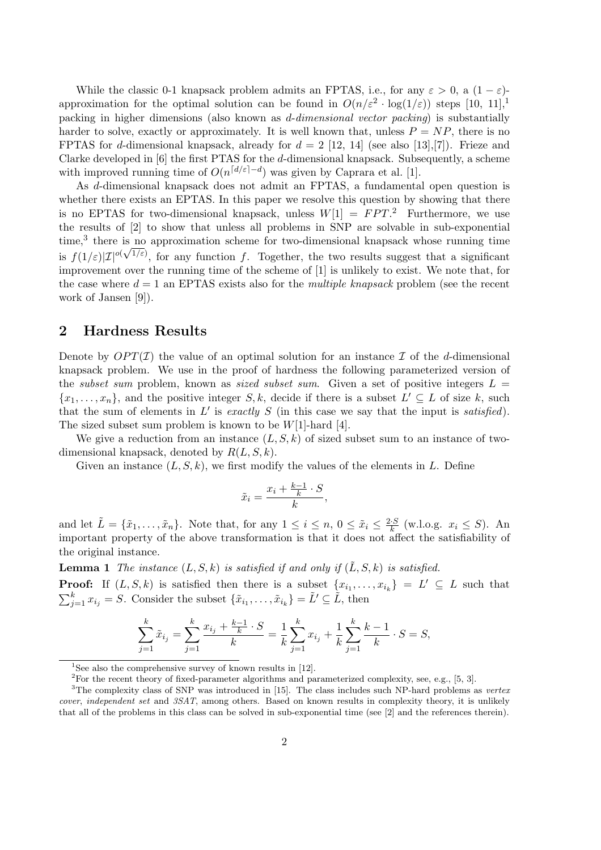While the classic 0-1 knapsack problem admits an FPTAS, i.e., for any  $\varepsilon > 0$ , a  $(1 - \varepsilon)$ approximation for the optimal solution can be found in  $O(n/\varepsilon^2 \cdot \log(1/\varepsilon))$  steps [10, 11],<sup>1</sup> packing in higher dimensions (also known as d-dimensional vector packing) is substantially harder to solve, exactly or approximately. It is well known that, unless  $P = NP$ , there is no FPTAS for d-dimensional knapsack, already for  $d = 2$  [12, 14] (see also [13], [7]). Frieze and Clarke developed in [6] the first PTAS for the d-dimensional knapsack. Subsequently, a scheme with improved running time of  $O(n^{\lceil d/\varepsilon \rceil - d})$  was given by Caprara et al. [1].

As d-dimensional knapsack does not admit an FPTAS, a fundamental open question is whether there exists an EPTAS. In this paper we resolve this question by showing that there is no EPTAS for two-dimensional knapsack, unless  $W[1] = FPT$ <sup>2</sup>. Furthermore, we use the results of [2] to show that unless all problems in SNP are solvable in sub-exponential time,<sup>3</sup> there is no approximation scheme for two-dimensional knapsack whose running time is  $f(1/\varepsilon)|\mathcal{I}|^{o(\sqrt{1/\varepsilon})}$ , for any function f. Together, the two results suggest that a significant improvement over the running time of the scheme of [1] is unlikely to exist. We note that, for the case where  $d = 1$  an EPTAS exists also for the *multiple knapsack* problem (see the recent work of Jansen [9]).

### 2 Hardness Results

Denote by  $OPT(\mathcal{I})$  the value of an optimal solution for an instance  $\mathcal I$  of the d-dimensional knapsack problem. We use in the proof of hardness the following parameterized version of the *subset sum* problem, known as *sized subset sum*. Given a set of positive integers  $L =$  $\{x_1, \ldots, x_n\}$ , and the positive integer  $S, k$ , decide if there is a subset  $L' \subseteq L$  of size k, such that the sum of elements in  $L'$  is exactly  $S$  (in this case we say that the input is satisfied). The sized subset sum problem is known to be  $W[1]$ -hard [4].

We give a reduction from an instance  $(L, S, k)$  of sized subset sum to an instance of twodimensional knapsack, denoted by  $R(L, S, k)$ .

Given an instance  $(L, S, k)$ , we first modify the values of the elements in L. Define

$$
\tilde{x}_i = \frac{x_i + \frac{k-1}{k} \cdot S}{k},
$$

and let  $\tilde{L} = {\tilde{x}_1, \ldots, \tilde{x}_n}$ . Note that, for any  $1 \leq i \leq n, 0 \leq \tilde{x}_i \leq \frac{2 \cdot S}{k}$  $\frac{S}{k}$  (w.l.o.g.  $x_i \leq S$ ). An important property of the above transformation is that it does not affect the satisfiability of the original instance.

**Lemma 1** The instance  $(L, S, k)$  is satisfied if and only if  $(L, S, k)$  is satisfied.

**Proof:** If  $(L, S, k)$  is satisfied then there is a subset  $\{x_{i_1}, \ldots, x_{i_k}\} = L' \subseteq L$  such that  $\frac{1}{k}$  $j=1 \ x_{i_j} = S.$  Consider the subset  $\{\tilde{x}_{i_1}, \ldots, \tilde{x}_{i_k}\} = \tilde{L}' \subseteq \tilde{L}$ , then

$$
\sum_{j=1}^{k} \tilde{x}_{i_j} = \sum_{j=1}^{k} \frac{x_{i_j} + \frac{k-1}{k} \cdot S}{k} = \frac{1}{k} \sum_{j=1}^{k} x_{i_j} + \frac{1}{k} \sum_{j=1}^{k} \frac{k-1}{k} \cdot S = S,
$$

<sup>&</sup>lt;sup>1</sup>See also the comprehensive survey of known results in  $[12]$ .

<sup>&</sup>lt;sup>2</sup>For the recent theory of fixed-parameter algorithms and parameterized complexity, see, e.g., [5, 3].

<sup>&</sup>lt;sup>3</sup>The complexity class of SNP was introduced in [15]. The class includes such NP-hard problems as vertex cover, independent set and 3SAT, among others. Based on known results in complexity theory, it is unlikely that all of the problems in this class can be solved in sub-exponential time (see [2] and the references therein).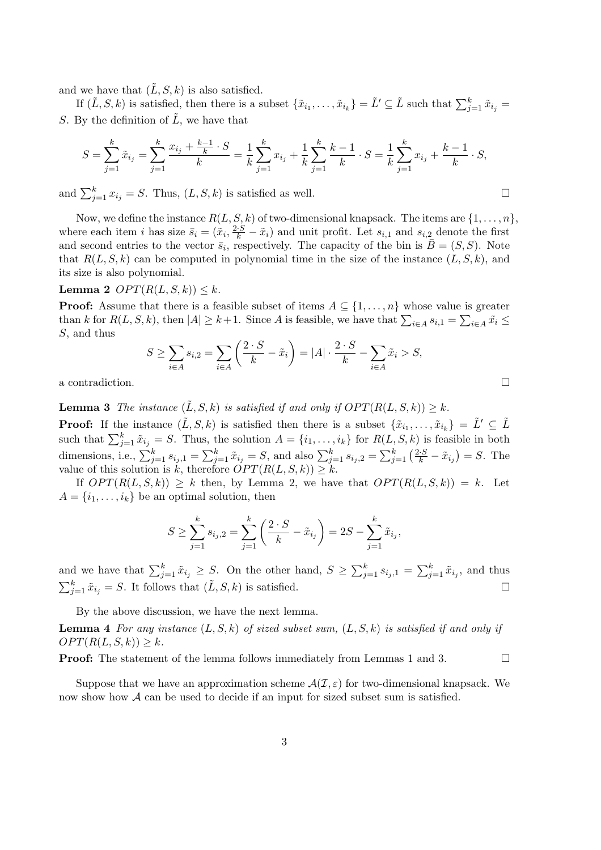and we have that  $(\tilde{L}, S, k)$  is also satisfied.

If  $(\tilde{L}, S, k)$  is satisfied, then there is a subset  $\{\tilde{x}_{i_1}, \ldots, \tilde{x}_{i_k}\} = \tilde{L}' \subseteq \tilde{L}$  such that  $\sum_{j=1}^k \tilde{x}_{i_j} =$ S. By the definition of  $\tilde{L}$ , we have that

$$
S = \sum_{j=1}^{k} \tilde{x}_{i_j} = \sum_{j=1}^{k} \frac{x_{i_j} + \frac{k-1}{k} \cdot S}{k} = \frac{1}{k} \sum_{j=1}^{k} x_{i_j} + \frac{1}{k} \sum_{j=1}^{k} \frac{k-1}{k} \cdot S = \frac{1}{k} \sum_{j=1}^{k} x_{i_j} + \frac{k-1}{k} \cdot S,
$$

and  $\sum_{j=1}^{k} x_{i_j} = S$ . Thus,  $(L, S, k)$  is satisfied as well.  $\Box$ 

Now, we define the instance  $R(L, S, k)$  of two-dimensional knapsack. The items are  $\{1, \ldots, n\}$ , where each item *i* has size  $\bar{s}_i = (\tilde{x}_i, \frac{2 \cdot S}{k} - \tilde{x}_i)$  and unit profit. Let  $s_{i,1}$  and  $s_{i,2}$  denote the first and second entries to the vector  $\bar{s}_i$ , respectively. The capacity of the bin is  $\bar{B} = (S, S)$ . Note that  $R(L, S, k)$  can be computed in polynomial time in the size of the instance  $(L, S, k)$ , and its size is also polynomial.

### Lemma 2  $OPT(R(L, S, k)) \leq k$ .

**Proof:** Assume that there is a feasible subset of items  $A \subseteq \{1, \ldots, n\}$  whose value is greater **than** k for  $R(L, S, k)$ , then  $|A| \ge k+1$ . Since A is feasible, we have that  $\sum_{i \in A} s_{i,1} =$  $\frac{1}{2}$  $i \in A$   $\tilde{x_i} \leq$ S, and thus  $\overline{a}$  $\mathbf{r}$ 

$$
S \ge \sum_{i \in A} s_{i,2} = \sum_{i \in A} \left( \frac{2 \cdot S}{k} - \tilde{x}_i \right) = |A| \cdot \frac{2 \cdot S}{k} - \sum_{i \in A} \tilde{x}_i > S,
$$

a contradiction.  $\Box$ 

**Lemma 3** The instance  $(\tilde{L}, S, k)$  is satisfied if and only if  $OPT(R(L, S, k)) \geq k$ .

**Proof:** If the instance  $(\tilde{L}, S, k)$  is satisfied then there is a subset  $\{\tilde{x}_{i_1}, \ldots, \tilde{x}_{i_k}\} = \tilde{L}' \subseteq \tilde{L}$ such that  $\sum_{j=1}^k \tilde{x}_{i_j} = S$ . Thus, the solution  $A = \{i_1, \ldots, i_k\}$  for  $R(L, S, k)$  is feasible in both dimensions, i.e.,  $\sum_{j=1}^{k} s_{i_j,1} =$  $\sum_{j=1}^{k} \tilde{x}_{i_j} = S$ , and also  $\sum_{j=1}^{k} s_{i_j,2} =$  $\sum_{j=1}^k \left(\frac{2\cdot S}{k} - \tilde{x}_{i_j}\right)$ ∵<br>∖  $= S$ . The value of this solution is k, therefore  $OPT(R(L, S, k)) \geq k$ .

If  $OPT(R(L, S, k)) \geq k$  then, by Lemma 2, we have that  $OPT(R(L, S, k)) = k$ . Let  $A = \{i_1, \ldots, i_k\}$  be an optimal solution, then

$$
S \ge \sum_{j=1}^{k} s_{i_j,2} = \sum_{j=1}^{k} \left( \frac{2 \cdot S}{k} - \tilde{x}_{i_j} \right) = 2S - \sum_{j=1}^{k} \tilde{x}_{i_j},
$$

and we have that  $\sum_{j=1}^{k} \tilde{x}_{i_j} \geq S$ . On the other hand,  $S \geq$  $\bigcup_k$  $_{j=1}^{\kappa} s_{i_j,1} =$  $\bigcap_k$  $\tilde{j}_{j=1}^{\kappa} \tilde{x}_{i_j}$ , and thus  $\frac{a}{\nabla^k}$  $\sum_{i=1}^k \tilde{x}_{i_j} = S$ . It follows that  $(\tilde{L}, S, k)$  is satisfied.  $\Box$ 

By the above discussion, we have the next lemma.

**Lemma 4** For any instance  $(L, S, k)$  of sized subset sum,  $(L, S, k)$  is satisfied if and only if  $OPT(R(L, S, k)) \geq k.$ 

**Proof:** The statement of the lemma follows immediately from Lemmas 1 and 3.

Suppose that we have an approximation scheme  $\mathcal{A}(\mathcal{I}, \varepsilon)$  for two-dimensional knapsack. We now show how  $\mathcal A$  can be used to decide if an input for sized subset sum is satisfied.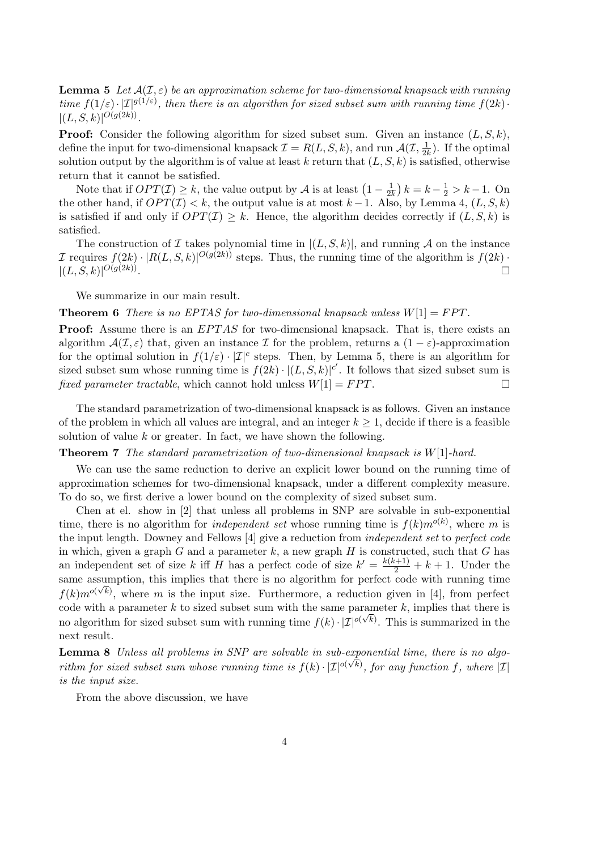**Lemma 5** Let  $A(\mathcal{I}, \varepsilon)$  be an approximation scheme for two-dimensional knapsack with running time  $f(1/\varepsilon) \cdot |I|^{g(1/\varepsilon)}$ , then there is an algorithm for sized subset sum with running time  $f(2k)$ .  $|(L, S, k)|^{O(g(2k))}.$ 

**Proof:** Consider the following algorithm for sized subset sum. Given an instance  $(L, S, k)$ , define the input for two-dimensional knapsack  $\mathcal{I} = R(L, S, k)$ , and run  $\mathcal{A}(\mathcal{I}, \frac{1}{2l})$  $\frac{1}{2k}$ ). If the optimal solution output by the algorithm is of value at least k return that  $(L, S, k)$  is satisfied, otherwise return that it cannot be satisfied. ¢

If the that if  $OPT(\mathcal{I}) \geq k$ , the value output by  $\mathcal A$  is at least  $(1 - \frac{1}{2k})$  $\overline{2k}$  $k = k - \frac{1}{2} > k - 1$ . On the other hand, if  $OPT(\mathcal{I}) < k$ , the output value is at most  $k-1$ . Also, by Lemma 4,  $(L, S, k)$ is satisfied if and only if  $OPT(I) \geq k$ . Hence, the algorithm decides correctly if  $(L, S, k)$  is satisfied.

The construction of I takes polynomial time in  $|(L, S, k)|$ , and running A on the instance *I* requires  $f(2k) \cdot |R(L, S, k)|^{O(g(2k))}$  steps. Thus, the running time of the algorithm is  $f(2k)$ .  $|(L, S, k)|^{O(g(2k))}$ . The contract of the contract of the contract of the contract of the contract of  $\Box$ 

We summarize in our main result.

#### **Theorem 6** There is no EPTAS for two-dimensional knapsack unless  $W[1] = FPT$ .

**Proof:** Assume there is an *EPTAS* for two-dimensional knapsack. That is, there exists an algorithm  $\mathcal{A}(\mathcal{I},\varepsilon)$  that, given an instance  $\mathcal I$  for the problem, returns a  $(1-\varepsilon)$ -approximation for the optimal solution in  $f(1/\varepsilon) \cdot |\mathcal{I}|^c$  steps. Then, by Lemma 5, there is an algorithm for sized subset sum whose running time is  $f(2k) \cdot |(L, S, k)|^{c'}$ . It follows that sized subset sum is fixed parameter tractable, which cannot hold unless  $W[1] = FPT$ .

The standard parametrization of two-dimensional knapsack is as follows. Given an instance of the problem in which all values are integral, and an integer  $k \geq 1$ , decide if there is a feasible solution of value  $k$  or greater. In fact, we have shown the following.

#### **Theorem 7** The standard parametrization of two-dimensional knapsack is  $W[1]$ -hard.

We can use the same reduction to derive an explicit lower bound on the running time of approximation schemes for two-dimensional knapsack, under a different complexity measure. To do so, we first derive a lower bound on the complexity of sized subset sum.

Chen at el. show in [2] that unless all problems in SNP are solvable in sub-exponential time, there is no algorithm for *independent set* whose running time is  $f(k)m^{o(k)}$ , where m is the input length. Downey and Fellows [4] give a reduction from independent set to perfect code in which, given a graph G and a parameter  $k$ , a new graph H is constructed, such that G has an independent set of size k iff H has a perfect code of size  $k' = \frac{k(k+1)}{2} + k + 1$ . Under the same assumption, this implies that there is no algorithm for perfect code with running time  $f(k)m^{o(\sqrt{k})}$ , where m is the input size. Furthermore, a reduction given in [4], from perfect code with a parameter k to sized subset sum with the same parameter k, implies that there is no algorithm for sized subset sum with running time  $f(k) \cdot | \mathcal{I}|^{o(\sqrt{k})}$ . This is summarized in the next result.

**Lemma 8** Unless all problems in SNP are solvable in sub-exponential time, there is no algorithm for sized subset sum whose running time is  $f(k) \cdot | \mathcal{I}|^{o(\sqrt{k})}$ , for any function f, where  $|\mathcal{I}|$ is the input size.

From the above discussion, we have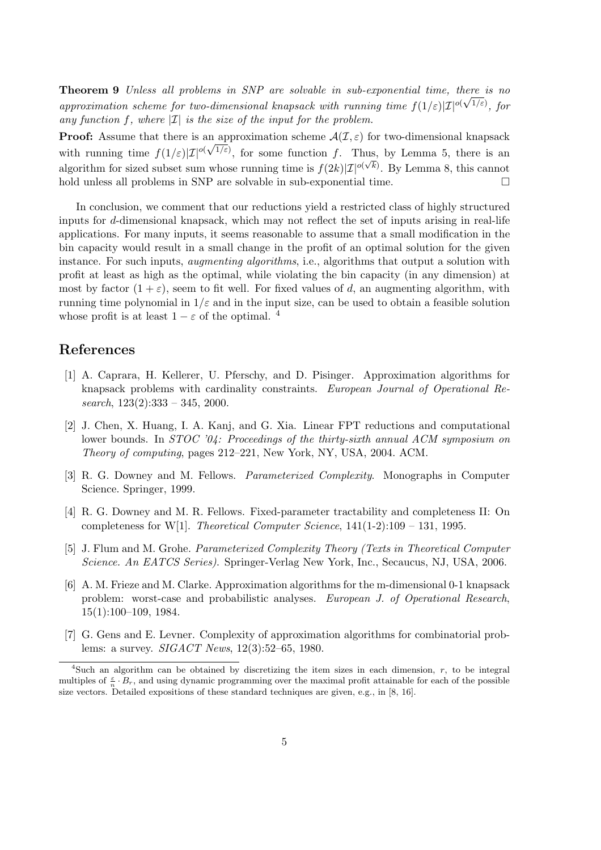**Theorem 9** Unless all problems in SNP are solvable in sub-exponential time, there is no approximation scheme for two-dimensional knapsack with running time  $f(1/\varepsilon)|\mathcal{I}|^{o(\sqrt{1/\varepsilon})}$ , for any function f, where  $|\mathcal{I}|$  is the size of the input for the problem.

**Proof:** Assume that there is an approximation scheme  $\mathcal{A}(\mathcal{I}, \varepsilon)$  for two-dimensional knapsack with running time  $f(1/\varepsilon)|\mathcal{I}|^{o(\sqrt{1/\varepsilon})}$ , for some function f. Thus, by Lemma 5, there is an algorithm for sized subset sum whose running time is  $f(2k)|\mathcal{I}|^{o(\sqrt{k})}$ . By Lemma 8, this cannot hold unless all problems in SNP are solvable in sub-exponential time.  $\Box$ 

In conclusion, we comment that our reductions yield a restricted class of highly structured inputs for d-dimensional knapsack, which may not reflect the set of inputs arising in real-life applications. For many inputs, it seems reasonable to assume that a small modification in the bin capacity would result in a small change in the profit of an optimal solution for the given instance. For such inputs, *augmenting algorithms*, i.e., algorithms that output a solution with profit at least as high as the optimal, while violating the bin capacity (in any dimension) at most by factor  $(1 + \varepsilon)$ , seem to fit well. For fixed values of d, an augmenting algorithm, with running time polynomial in  $1/\varepsilon$  and in the input size, can be used to obtain a feasible solution whose profit is at least  $1 - \varepsilon$  of the optimal. <sup>4</sup>

## References

- [1] A. Caprara, H. Kellerer, U. Pferschy, and D. Pisinger. Approximation algorithms for knapsack problems with cardinality constraints. European Journal of Operational Research,  $123(2):333 - 345$ ,  $2000$ .
- [2] J. Chen, X. Huang, I. A. Kanj, and G. Xia. Linear FPT reductions and computational lower bounds. In STOC '04: Proceedings of the thirty-sixth annual ACM symposium on Theory of computing, pages 212–221, New York, NY, USA, 2004. ACM.
- [3] R. G. Downey and M. Fellows. Parameterized Complexity. Monographs in Computer Science. Springer, 1999.
- [4] R. G. Downey and M. R. Fellows. Fixed-parameter tractability and completeness II: On completeness for W[1]. Theoretical Computer Science,  $141(1-2):109-131$ , 1995.
- [5] J. Flum and M. Grohe. Parameterized Complexity Theory (Texts in Theoretical Computer Science. An EATCS Series). Springer-Verlag New York, Inc., Secaucus, NJ, USA, 2006.
- [6] A. M. Frieze and M. Clarke. Approximation algorithms for the m-dimensional 0-1 knapsack problem: worst-case and probabilistic analyses. European J. of Operational Research, 15(1):100–109, 1984.
- [7] G. Gens and E. Levner. Complexity of approximation algorithms for combinatorial problems: a survey. SIGACT News, 12(3):52–65, 1980.

<sup>&</sup>lt;sup>4</sup>Such an algorithm can be obtained by discretizing the item sizes in each dimension,  $r$ , to be integral multiples of  $\frac{\varepsilon}{n} \cdot B_r$ , and using dynamic programming over the maximal profit attainable for each of the possible size vectors. Detailed expositions of these standard techniques are given, e.g., in [8, 16].